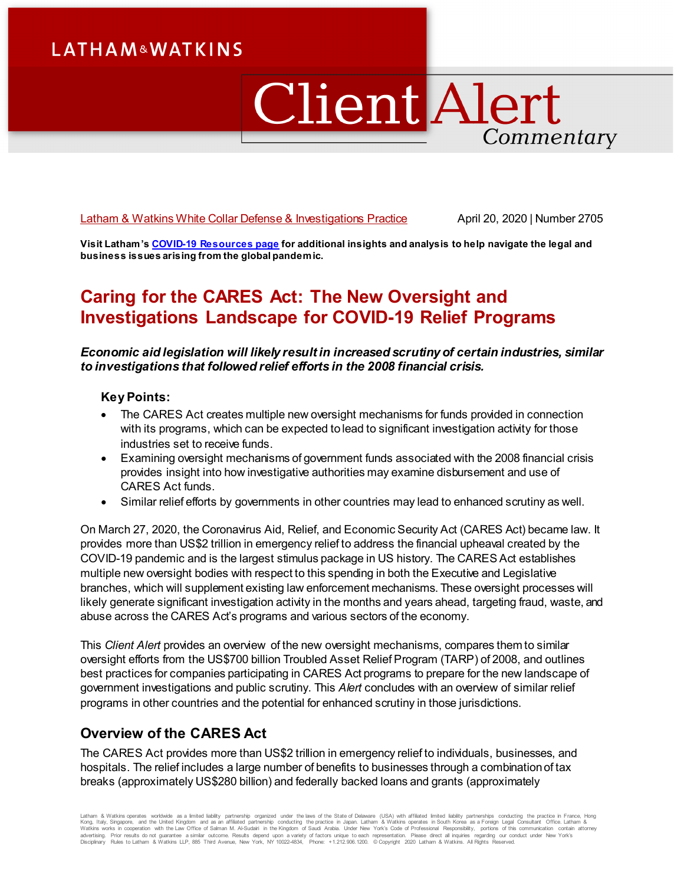# **LATHAM&WATKINS**

# **Client Alert** Commentary

[Latham & Watkins White Collar Defense & Investigations Practice](https://www.lw.com/practices/WhiteCollarDefenseandInvestigations) April 20, 2020 | Number 2705

**Visit Latham'[s COVID-19 Resources page](https://www.lw.com/covid-19) for additional insights and analysis to help navigate the legal and business issues arising from the global pandemic.** 

# **Caring for the CARES Act: The New Oversight and Investigations Landscape for COVID-19 Relief Programs**

#### *Economic aid legislation will likely result in increased scrutiny of certain industries, similar to investigations that followed relief efforts in the 2008 financial crisis.*

#### **Key Points:**

- The CARES Act creates multiple new oversight mechanisms for funds provided in connection with its programs, which can be expected to lead to significant investigation activity for those industries set to receive funds.
- Examining oversight mechanisms of government funds associated with the 2008 financial crisis provides insight into how investigative authorities may examine disbursement and use of CARES Act funds.
- Similar relief efforts by governments in other countries may lead to enhanced scrutiny as well.

On March 27, 2020, the Coronavirus Aid, Relief, and Economic Security Act (CARES Act) became law. It provides more than US\$2 trillion in emergency relief to address the financial upheaval created by the COVID-19 pandemic and is the largest stimulus package in US history. The CARES Act establishes multiple new oversight bodies with respect to this spending in both the Executive and Legislative branches, which will supplement existing law enforcement mechanisms. These oversight processes will likely generate significant investigation activity in the months and years ahead, targeting fraud, waste, and abuse across the CARES Act's programs and various sectors of the economy.

This *Client Alert* provides an overview of the new oversight mechanisms, compares them to similar oversight efforts from the US\$700 billion Troubled Asset Relief Program (TARP) of 2008, and outlines best practices for companies participating in CARES Act programs to prepare for the new landscape of government investigations and public scrutiny. This *Alert* concludes with an overview of similar relief programs in other countries and the potential for enhanced scrutiny in those jurisdictions.

# **Overview of the CARES Act**

The CARES Act provides more than US\$2 trillion in emergency relief to individuals, businesses, and hospitals. The relief includes a large number of benefits to businesses through a combination of tax breaks (approximately US\$280 billion) and federally backed loans and grants (approximately

Latham & Watkins operates worldwide as a limited lability partnership organized under the laws of the State of Delaware (USA) with affiliated limited limitiated limited itselfs of the State of Delaware (USA) with affiliate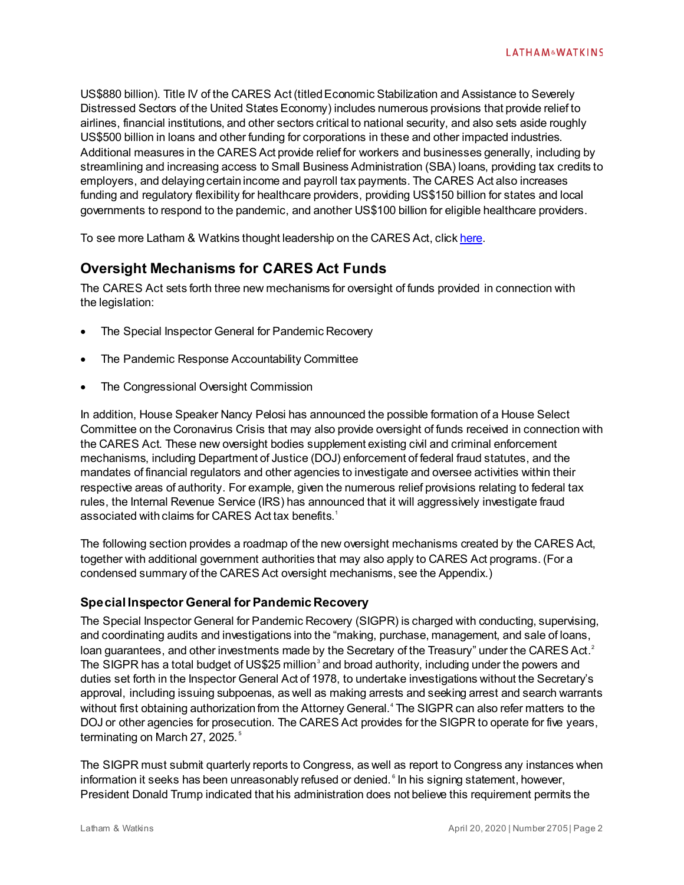US\$880 billion). Title IV of the CARES Act (titled Economic Stabilization and Assistance to Severely Distressed Sectors of the United States Economy) includes numerous provisions that provide relief to airlines, financial institutions, and other sectors critical to national security, and also sets aside roughly US\$500 billion in loans and other funding for corporations in these and other impacted industries. Additional measures in the CARES Act provide relief for workers and businesses generally, including by streamlining and increasing access to Small Business Administration (SBA) loans, providing tax credits to employers, and delaying certain income and payroll tax payments. The CARES Act also increases funding and regulatory flexibility for healthcare providers, providing US\$150 billion for states and local governments to respond to the pandemic, and another US\$100 billion for eligible healthcare providers.

To see more Latham & Watkins thought leadership on the CARES Act, clic[k here](https://www.lw.com/COVID19/CARESAct).

# **Oversight Mechanisms for CARES Act Funds**

The CARES Act sets forth three new mechanisms for oversight of funds provided in connection with the legislation:

- The Special Inspector General for Pandemic Recovery
- The Pandemic Response Accountability Committee
- The Congressional Oversight Commission

In addition, House Speaker Nancy Pelosi has announced the possible formation of a House Select Committee on the Coronavirus Crisis that may also provide oversight of funds received in connection with the CARES Act. These new oversight bodies supplement existing civil and criminal enforcement mechanisms, including Department of Justice (DOJ) enforcement of federal fraud statutes, and the mandates of financial regulators and other agencies to investigate and oversee activities within their respective areas of authority. For example, given the numerous relief provisions relating to federal tax rules, the Internal Revenue Service (IRS) has announced that it will aggressively investigate fraud associated with claims for CARES Act tax benefits.<sup>[1](#page-15-0)</sup>

The following section provides a roadmap of the new oversight mechanisms created by the CARES Act, together with additional government authorities that may also apply to CARES Act programs. (For a condensed summary of the CARES Act oversight mechanisms, see the Appendix.)

#### **Special Inspector General for Pandemic Recovery**

The Special Inspector General for Pandemic Recovery (SIGPR) is charged with conducting, supervising, and coordinating audits and investigations into the "making, purchase, management, and sale of loans, loan guarantees, and other investments made by the Secretary of the Treasury" under the CARES Act. $^{\text{2}}$  $^{\text{2}}$  $^{\text{2}}$ The SIGPR has a total budget of US\$25 million<sup>[3](#page-15-2)</sup> and broad authority, including under the powers and duties set forth in the Inspector General Act of 1978, to undertake investigations without the Secretary's approval, including issuing subpoenas, as well as making arrests and seeking arrest and search warrants without first obtaining authorization from the Attorney General.[4](#page-15-3) The SIGPR can also refer matters to the DOJ or other agencies for prosecution. The CARES Act provides for the SIGPR to operate for five years, terminating on March 27, 202[5](#page-15-4).<sup>5</sup>

The SIGPR must submit quarterly reports to Congress, as well as report to Congress any instances when information it seeks has been unreasonably refused or denied.<sup>[6](#page-15-5)</sup> In his signing statement, however, President Donald Trump indicated that his administration does not believe this requirement permits the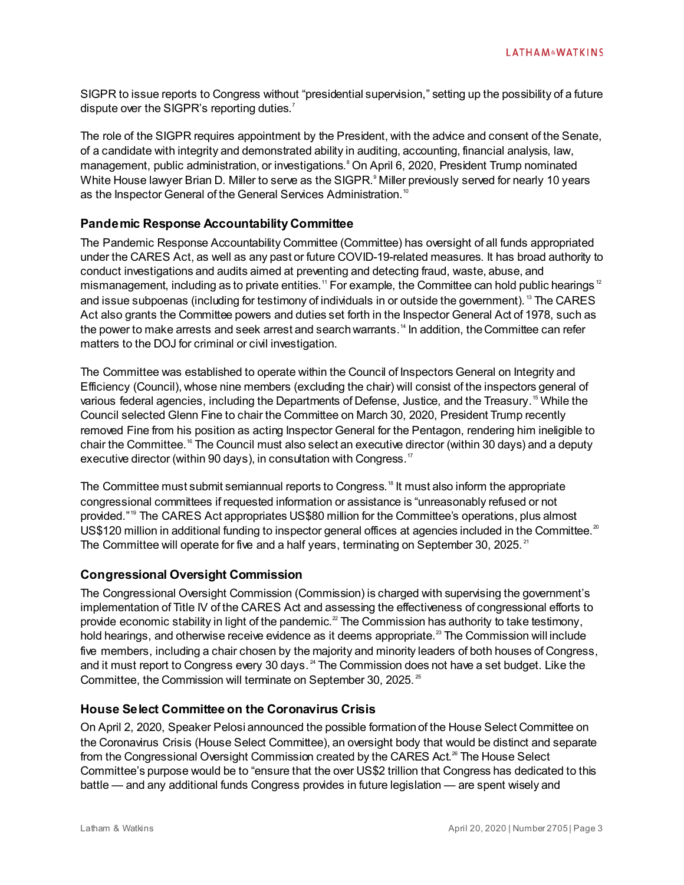SIGPR to issue reports to Congress without "presidential supervision," setting up the possibility of a future dispute over the SIGPR's reporting duties.<sup>[7](#page-15-6)</sup>

The role of the SIGPR requires appointment by the President, with the advice and consent of the Senate, of a candidate with integrity and demonstrated ability in auditing, accounting, financial analysis, law, management, public administration, or investigations.<sup>[8](#page-15-7)</sup> On April 6, 2020, President Trump nominated White House lawyer Brian D. Miller to serve as the SIGPR. $^{\circ}$ Miller previously served for nearly 10 years as the Inspector General of the General Services Administration.<sup>[10](#page-15-9)</sup>

#### **Pandemic Response Accountability Committee**

The Pandemic Response Accountability Committee (Committee) has oversight of all funds appropriated under the CARES Act, as well as any past or future COVID-19-related measures. It has broad authority to conduct investigations and audits aimed at preventing and detecting fraud, waste, abuse, and mismanagement, including as to private entities.<sup>[11](#page-15-10)</sup> For example, the Committee can hold public hearings<sup>[12](#page-15-11)</sup> and issue subpoenas (including for testimony of individuals in or outside the government). <sup>[13](#page-15-12)</sup> The CARES Act also grants the Committee powers and duties set forth in the Inspector General Act of 1978, such as the power to make arrests and seek arrest and search warrants. [14](#page-15-13) In addition, the Committee can refer matters to the DOJ for criminal or civil investigation.

The Committee was established to operate within the Council of Inspectors General on Integrity and Efficiency (Council), whose nine members (excluding the chair) will consist of the inspectors general of various federal agencies, including the Departments of Defense, Justice, and the Treasury.[15](#page-15-14) While the Council selected Glenn Fine to chair the Committee on March 30, 2020, President Trump recently removed Fine from his position as acting Inspector General for the Pentagon, rendering him ineligible to chair the Committee.<sup>[16](#page-15-15)</sup> The Council must also select an executive director (within 30 days) and a deputy executive director (within 90 days), in consultation with Congress.<sup>[17](#page-15-16)</sup>

The Committee must submit semiannual reports to Congress.<sup>[18](#page-15-17)</sup> It must also inform the appropriate congressional committees if requested information or assistance is "unreasonably refused or not provided."[19](#page-15-18) The CARES Act appropriates US\$80 million for the Committee's operations, plus almost US\$1[20](#page-15-19) million in additional funding to inspector general offices at agencies included in the Committee. $^\mathrm{20}$ The Committee will operate for five and a half years, terminating on September 30, 2025.<sup>[21](#page-15-20)</sup>

#### **Congressional Oversight Commission**

The Congressional Oversight Commission (Commission) is charged with supervising the government's implementation of Title IV of the CARES Act and assessing the effectiveness of congressional efforts to provide economic stability in light of the pandemic. [22](#page-15-21) The Commission has authority to take testimony, hold hearings, and otherwise receive evidence as it deems appropriate.<sup>23</sup> The Commission will include five members, including a chair chosen by the majority and minority leaders of both houses of Congress, and it must report to Congress every 30 days.<sup>[24](#page-15-23)</sup> The Commission does not have a set budget. Like the Committee, the Commission will terminate on September 30, 2025. [25](#page-15-24)

#### **House Select Committee on the Coronavirus Crisis**

On April 2, 2020, Speaker Pelosi announced the possible formation of the House Select Committee on the Coronavirus Crisis (House Select Committee), an oversight body that would be distinct and separate from the Congressional Oversight Commission created by the CARES Act.<sup>[26](#page-15-25)</sup> The House Select Committee's purpose would be to "ensure that the over US\$2 trillion that Congress has dedicated to this battle — and any additional funds Congress provides in future legislation — are spent wisely and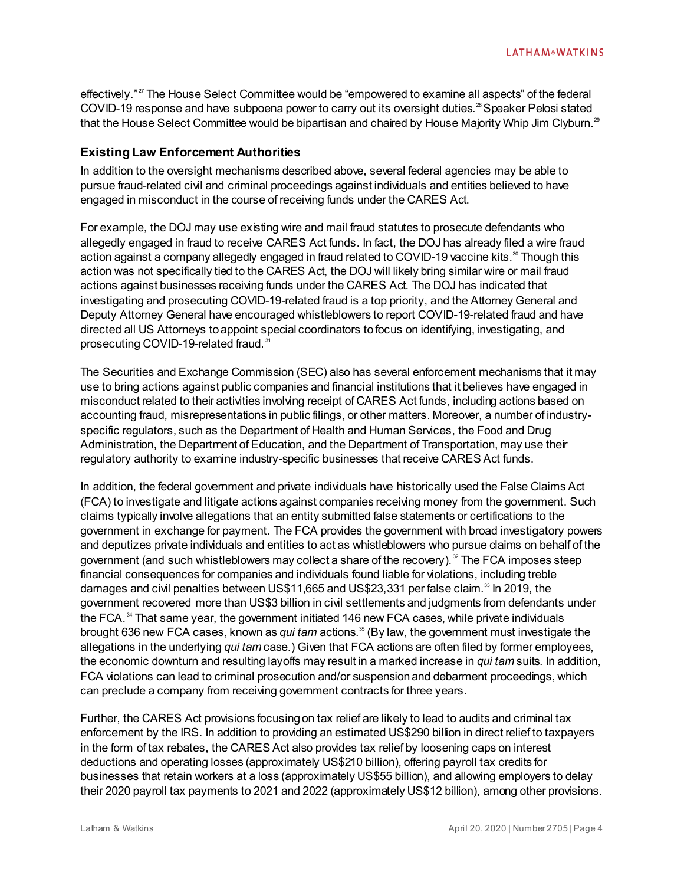effectively."<sup>[27](#page-15-26)</sup> The House Select Committee would be "empowered to examine all aspects" of the federal COVID-19 response and have subpoena power to carry out its oversight duties.<sup>[28](#page-15-27)</sup> Speaker Pelosi stated that the House Select Committee would be bipartisan and chaired by House Majority Whip Jim Clyburn. $^{\text{29}}$  $^{\text{29}}$  $^{\text{29}}$ 

#### **Existing Law Enforcement Authorities**

In addition to the oversight mechanisms described above, several federal agencies may be able to pursue fraud-related civil and criminal proceedings against individuals and entities believed to have engaged in misconduct in the course of receiving funds under the CARES Act.

For example, the DOJ may use existing wire and mail fraud statutes to prosecute defendants who allegedly engaged in fraud to receive CARES Act funds. In fact, the DOJ has already filed a wire fraud action against a company allegedly engaged in fraud related to COVID-19 vaccine kits.<sup>[30](#page-15-29)</sup> Though this action was not specifically tied to the CARES Act, the DOJ will likely bring similar wire or mail fraud actions against businesses receiving funds under the CARES Act. The DOJ has indicated that investigating and prosecuting COVID-19-related fraud is a top priority, and the Attorney General and Deputy Attorney General have encouraged whistleblowers to report COVID-19-related fraud and have directed all US Attorneys to appoint special coordinators to focus on identifying, investigating, and prosecuting COVID-19-related fraud.<sup>[31](#page-15-30)</sup>

The Securities and Exchange Commission (SEC) also has several enforcement mechanisms that it may use to bring actions against public companies and financial institutions that it believes have engaged in misconduct related to their activities involving receipt of CARES Act funds, including actions based on accounting fraud, misrepresentations in public filings, or other matters. Moreover, a number of industryspecific regulators, such as the Department of Health and Human Services, the Food and Drug Administration, the Department of Education, and the Department of Transportation, may use their regulatory authority to examine industry-specific businesses that receive CARES Act funds.

In addition, the federal government and private individuals have historically used the False Claims Act (FCA) to investigate and litigate actions against companies receiving money from the government. Such claims typically involve allegations that an entity submitted false statements or certifications to the government in exchange for payment. The FCA provides the government with broad investigatory powers and deputizes private individuals and entities to act as whistleblowers who pursue claims on behalf of the government (and such whistleblowers may collect a share of the recovery).  $\alpha$  The FCA imposes steep financial consequences for companies and individuals found liable for violations, including treble damages and civil penalties between US\$11,665 and US\$23,[33](#page-15-32)1 per false claim.<sup>33</sup> In 2019, the government recovered more than US\$3 billion in civil settlements and judgments from defendants under the FCA.<sup>[34](#page-16-0)</sup> That same year, the government initiated 146 new FCA cases, while private individuals brought 636 new FCA cases, known as *qui tam* actions.[35](#page-16-1) (By law, the government must investigate the allegations in the underlying *qui tam* case.) Given that FCA actions are often filed by former employees, the economic downturn and resulting layoffs may result in a marked increase in *qui tam* suits. In addition, FCA violations can lead to criminal prosecution and/or suspension and debarment proceedings, which can preclude a company from receiving government contracts for three years.

Further, the CARES Act provisions focusing on tax relief are likely to lead to audits and criminal tax enforcement by the IRS. In addition to providing an estimated US\$290 billion in direct relief to taxpayers in the form of tax rebates, the CARES Act also provides tax relief by loosening caps on interest deductions and operating losses (approximately US\$210 billion), offering payroll tax credits for businesses that retain workers at a loss (approximately US\$55 billion), and allowing employers to delay their 2020 payroll tax payments to 2021 and 2022 (approximately US\$12 billion), among other provisions.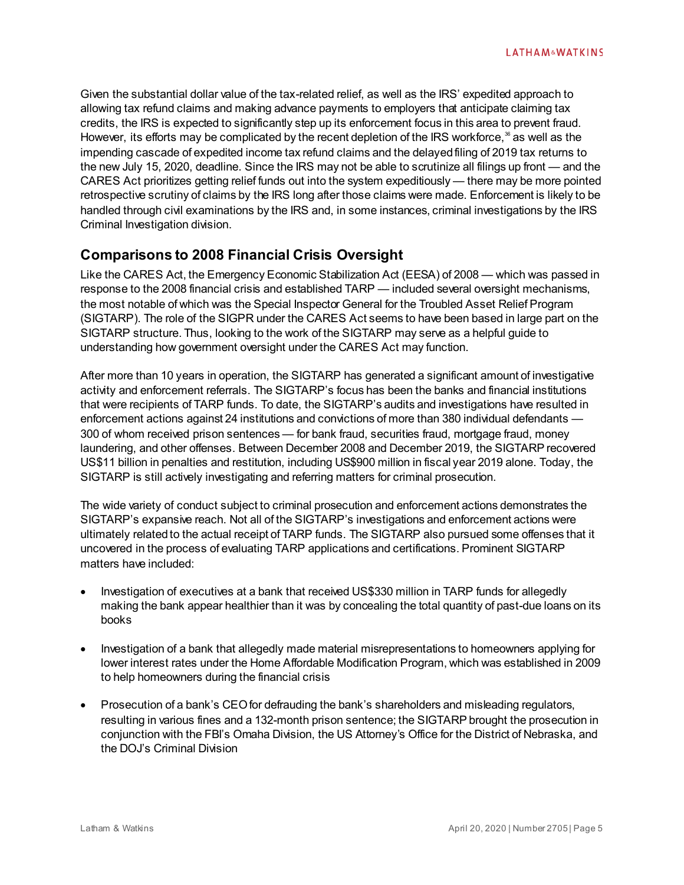Given the substantial dollar value of the tax-related relief, as well as the IRS' expedited approach to allowing tax refund claims and making advance payments to employers that anticipate claiming tax credits, the IRS is expected to significantly step up its enforcement focus in this area to prevent fraud. However, its efforts may be complicated by the recent depletion of the IRS workforce, $\frac{3}{6}$  as well as the impending cascade of expedited income tax refund claims and the delayed filing of 2019 tax returns to the new July 15, 2020, deadline. Since the IRS may not be able to scrutinize all filings up front — and the CARES Act prioritizes getting relief funds out into the system expeditiously — there may be more pointed retrospective scrutiny of claims by the IRS long after those claims were made. Enforcement is likely to be handled through civil examinations by the IRS and, in some instances, criminal investigations by the IRS Criminal Investigation division.

## **Comparisons to 2008 Financial Crisis Oversight**

Like the CARES Act, the Emergency Economic Stabilization Act (EESA) of 2008 — which was passed in response to the 2008 financial crisis and established TARP — included several oversight mechanisms, the most notable of which was the Special Inspector General for the Troubled Asset Relief Program (SIGTARP). The role of the SIGPR under the CARES Act seems to have been based in large part on the SIGTARP structure. Thus, looking to the work of the SIGTARP may serve as a helpful guide to understanding how government oversight under the CARES Act may function.

After more than 10 years in operation, the SIGTARP has generated a significant amount of investigative activity and enforcement referrals. The SIGTARP's focus has been the banks and financial institutions that were recipients of TARP funds. To date, the SIGTARP's audits and investigations have resulted in enforcement actions against 24 institutions and convictions of more than 380 individual defendants — 300 of whom received prison sentences — for bank fraud, securities fraud, mortgage fraud, money laundering, and other offenses. Between December 2008 and December 2019, the SIGTARP recovered US\$11 billion in penalties and restitution, including US\$900 million in fiscal year 2019 alone. Today, the SIGTARP is still actively investigating and referring matters for criminal prosecution.

The wide variety of conduct subject to criminal prosecution and enforcement actions demonstrates the SIGTARP's expansive reach. Not all of the SIGTARP's investigations and enforcement actions were ultimately related to the actual receipt of TARP funds. The SIGTARP also pursued some offenses that it uncovered in the process of evaluating TARP applications and certifications. Prominent SIGTARP matters have included:

- Investigation of executives at a bank that received US\$330 million in TARP funds for allegedly making the bank appear healthier than it was by concealing the total quantity of past-due loans on its books
- Investigation of a bank that allegedly made material misrepresentations to homeowners applying for lower interest rates under the Home Affordable Modification Program, which was established in 2009 to help homeowners during the financial crisis
- Prosecution of a bank's CEO for defrauding the bank's shareholders and misleading regulators, resulting in various fines and a 132-month prison sentence; the SIGTARP brought the prosecution in conjunction with the FBI's Omaha Division, the US Attorney's Office for the District of Nebraska, and the DOJ's Criminal Division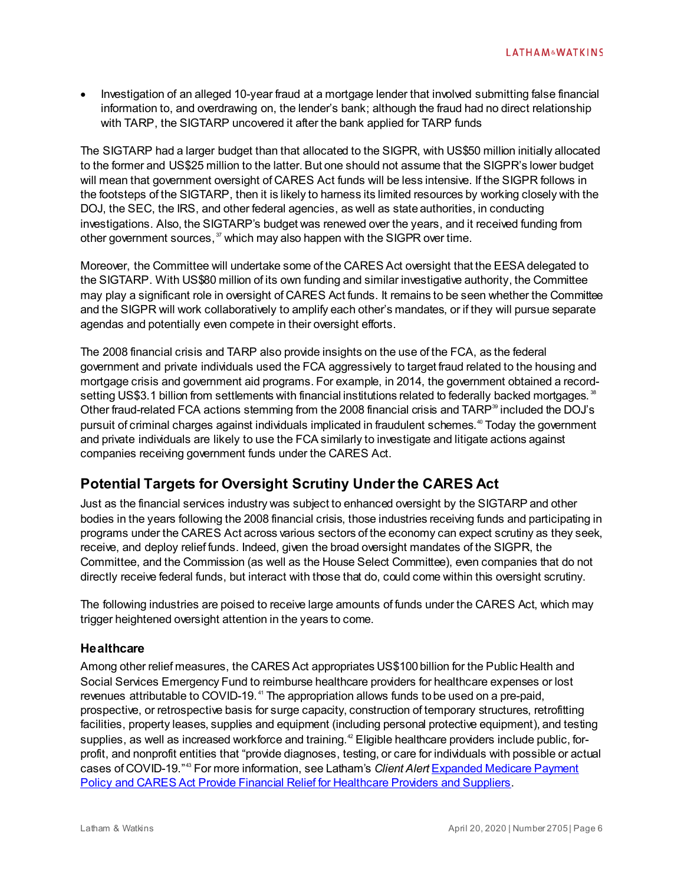• Investigation of an alleged 10-year fraud at a mortgage lender that involved submitting false financial information to, and overdrawing on, the lender's bank; although the fraud had no direct relationship with TARP, the SIGTARP uncovered it after the bank applied for TARP funds

The SIGTARP had a larger budget than that allocated to the SIGPR, with US\$50 million initially allocated to the former and US\$25 million to the latter. But one should not assume that the SIGPR's lower budget will mean that government oversight of CARES Act funds will be less intensive. If the SIGPR follows in the footsteps of the SIGTARP, then it is likely to harness its limited resources by working closely with the DOJ, the SEC, the IRS, and other federal agencies, as well as state authorities, in conducting investigations. Also, the SIGTARP's budget was renewed over the years, and it received funding from other government sources, <sup>[37](#page-16-3)</sup> which may also happen with the SIGPR over time.

Moreover, the Committee will undertake some of the CARES Act oversight that the EESA delegated to the SIGTARP. With US\$80 million of its own funding and similar investigative authority, the Committee may play a significant role in oversight of CARES Act funds. It remains to be seen whether the Committee and the SIGPR will work collaboratively to amplify each other's mandates, or if they will pursue separate agendas and potentially even compete in their oversight efforts.

The 2008 financial crisis and TARP also provide insights on the use of the FCA, as the federal government and private individuals used the FCA aggressively to target fraud related to the housing and mortgage crisis and government aid programs. For example, in 2014, the government obtained a record-setting US\$3.1 billion from settlements with financial institutions related to federally backed mortgages.<sup>[38](#page-16-4)</sup> Other fraud-related FCA actions stemming from the 2008 financial crisis and TARP<sup>[39](#page-16-5)</sup> included the DOJ's pursuit of criminal charges against individuals implicated in fraudulent schemes.<sup>[40](#page-16-6)</sup> Today the government and private individuals are likely to use the FCA similarly to investigate and litigate actions against companies receiving government funds under the CARES Act.

# **Potential Targets for Oversight Scrutiny Under the CARES Act**

Just as the financial services industry was subject to enhanced oversight by the SIGTARP and other bodies in the years following the 2008 financial crisis, those industries receiving funds and participating in programs under the CARES Act across various sectors of the economy can expect scrutiny as they seek, receive, and deploy relief funds. Indeed, given the broad oversight mandates of the SIGPR, the Committee, and the Commission (as well as the House Select Committee), even companies that do not directly receive federal funds, but interact with those that do, could come within this oversight scrutiny.

The following industries are poised to receive large amounts of funds under the CARES Act, which may trigger heightened oversight attention in the years to come.

#### **Healthcare**

Among other relief measures, the CARES Act appropriates US\$100 billion for the Public Health and Social Services Emergency Fund to reimburse healthcare providers for healthcare expenses or lost revenues attributable to COVID-19. [41](#page-16-7) The appropriation allows funds to be used on a pre-paid, prospective, or retrospective basis for surge capacity, construction of temporary structures, retrofitting facilities, property leases, supplies and equipment (including personal protective equipment), and testing supplies, as well as increased workforce and training. $^\mathit{42}$  $^\mathit{42}$  $^\mathit{42}$  Eligible healthcare providers include public, forprofit, and nonprofit entities that "provide diagnoses, testing, or care for individuals with possible or actual cases of COVID-19."[43](#page-16-9) For more information, see Latham's *Client Alert* [Expanded Medicare Payment](https://www.lw.com/thoughtLeadership/Expanded-Medicare-Payment-Policy-and-CARES-Act-Provide-Financial-Relief-for-Healthcare-Providers-and-Suppliers)  Policy and CARES [Act Provide Financial Relief for Healthcare Providers and Suppliers](https://www.lw.com/thoughtLeadership/Expanded-Medicare-Payment-Policy-and-CARES-Act-Provide-Financial-Relief-for-Healthcare-Providers-and-Suppliers).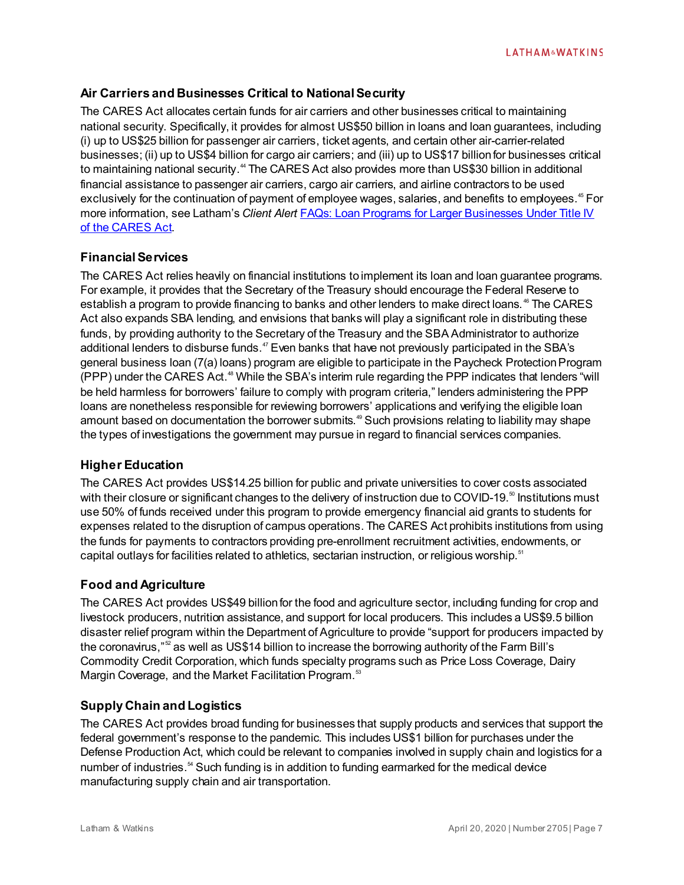#### **Air Carriers and Businesses Critical to National Security**

The CARES Act allocates certain funds for air carriers and other businesses critical to maintaining national security. Specifically, it provides for almost US\$50 billion in loans and loan guarantees, including (i) up to US\$25 billion for passenger air carriers, ticket agents, and certain other air-carrier-related businesses; (ii) up to US\$4 billion for cargo air carriers; and (iii) up to US\$17 billion for businesses critical to maintaining national security.<sup>[44](#page-16-10)</sup> The CARES Act also provides more than US\$30 billion in additional financial assistance to passenger air carriers, cargo air carriers, and airline contractors to be used exclusively for the continuation of payment of employee wages, salaries, and benefits to employees. [45](#page-16-11) For more information, see Latham's *Client Alert* [FAQs: Loan Programs for Larger Businesses Under Title IV](https://www.lw.com/thoughtLeadership/FAQs-Loan-Programs-for-Larger-Businesses-Under-Title-IV-of-the-CARES-Act)  [of the CARES Act.](https://www.lw.com/thoughtLeadership/FAQs-Loan-Programs-for-Larger-Businesses-Under-Title-IV-of-the-CARES-Act)

#### **Financial Services**

The CARES Act relies heavily on financial institutions to implement its loan and loan guarantee programs. For example, it provides that the Secretary of the Treasury should encourage the Federal Reserve to establish a program to provide financing to banks and other lenders to make direct loans. [46](#page-16-12) The CARES Act also expands SBA lending, and envisions that banks will play a significant role in distributing these funds, by providing authority to the Secretary of the Treasury and the SBA Administrator to authorize additional lenders to disburse funds.<sup>[47](#page-16-13)</sup> Even banks that have not previously participated in the SBA's general business loan (7(a) loans) program are eligible to participate in the Paycheck Protection Program (PPP) under the CARES Act.<sup>[48](#page-16-14)</sup> While the SBA's interim rule regarding the PPP indicates that lenders "will be held harmless for borrowers' failure to comply with program criteria," lenders administering the PPP loans are nonetheless responsible for reviewing borrowers' applications and verifying the eligible loan amount based on documentation the borrower submits. [49](#page-16-15) Such provisions relating to liability may shape the types of investigations the government may pursue in regard to financial services companies.

#### **Higher Education**

The CARES Act provides US\$14.25 billion for public and private universities to cover costs associated with their closure or significant changes to the delivery of instruction due to COVID-19. $^\mathrm{\scriptsize s}$  Institutions must use 50% of funds received under this program to provide emergency financial aid grants to students for expenses related to the disruption of campus operations. The CARES Act prohibits institutions from using the funds for payments to contractors providing pre-enrollment recruitment activities, endowments, or capital outlays for facilities related to athletics, sectarian instruction, or religious worship. $^{\mathfrak{sl}}$ 

#### **Food and Agriculture**

The CARES Act provides US\$49 billion for the food and agriculture sector, including funding for crop and livestock producers, nutrition assistance, and support for local producers. This includes a US\$9.5 billion disaster relief program within the Department of Agriculture to provide "support for producers impacted by the coronavirus,"<sup>[52](#page-16-18)</sup> as well as US\$14 billion to increase the borrowing authority of the Farm Bill's Commodity Credit Corporation, which funds specialty programs such as Price Loss Coverage, Dairy Margin Coverage, and the Market Facilitation Program.<sup>53</sup>

#### **Supply Chain and Logistics**

The CARES Act provides broad funding for businesses that supply products and services that support the federal government's response to the pandemic. This includes US\$1 billion for purchases under the Defense Production Act, which could be relevant to companies involved in supply chain and logistics for a number of industries.<sup>[54](#page-16-20)</sup> Such funding is in addition to funding earmarked for the medical device manufacturing supply chain and air transportation.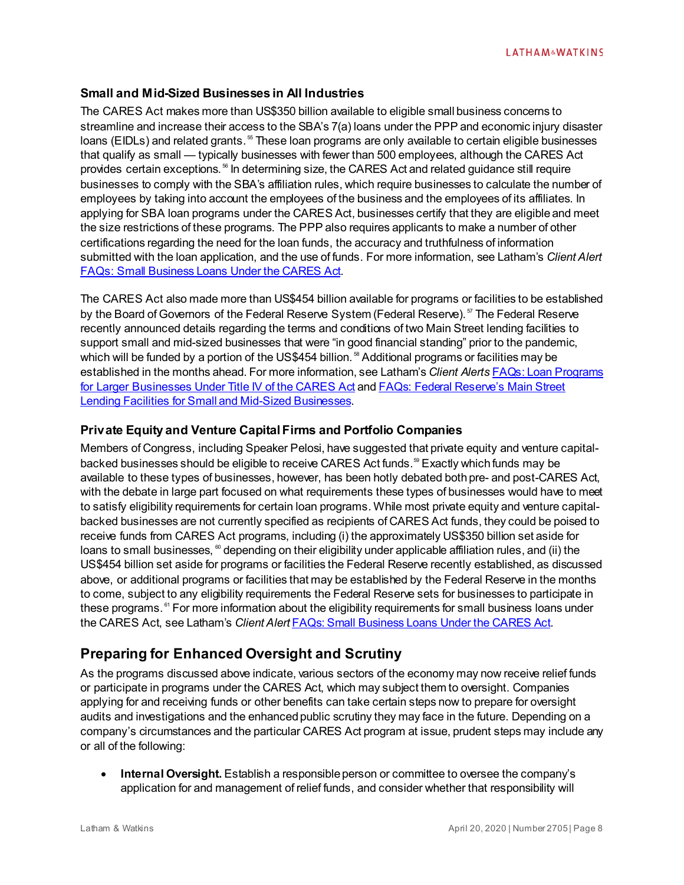#### **Small and Mid-Sized Businesses in All Industries**

The CARES Act makes more than US\$350 billion available to eligible small business concerns to streamline and increase their access to the SBA's 7(a) loans under the PPP and economic injury disaster loans (EIDLs) and related grants.<sup>[55](#page-16-21)</sup> These loan programs are only available to certain eligible businesses that qualify as small — typically businesses with fewer than 500 employees, although the CARES Act provides certain exceptions.<sup>[56](#page-16-22)</sup> In determining size, the CARES Act and related guidance still require businesses to comply with the SBA's affiliation rules, which require businesses to calculate the number of employees by taking into account the employees of the business and the employees of its affiliates. In applying for SBA loan programs under the CARES Act, businesses certify that they are eligible and meet the size restrictions of these programs. The PPP also requires applicants to make a number of other certifications regarding the need for the loan funds, the accuracy and truthfulness of information submitted with the loan application, and the use of funds. For more information, see Latham's *Client Alert* [FAQs: Small Business Loans Under the CARES Act.](https://www.lw.com/thoughtLeadership/FAQs-Small-Business-Loans-Under-the-CARES-Act)

The CARES Act also made more than US\$454 billion available for programs or facilities to be established by the Board of Governors of the Federal Reserve System (Federal Reserve).  $\sigma$  The Federal Reserve recently announced details regarding the terms and conditions of two Main Street lending facilities to support small and mid-sized businesses that were "in good financial standing" prior to the pandemic, which will be funded by a portion of the US\$454 billion.<sup>88</sup> Additional programs or facilities may be established in the months ahead. For more information, see Latham's *Client Alerts* [FAQs: Loan Programs](https://www.lw.com/thoughtLeadership/FAQs-Loan-Programs-for-Larger-Businesses-Under-Title-IV-of-the-CARES-Act)  [for Larger Businesses Under Title IV of the CARES Act](https://www.lw.com/thoughtLeadership/FAQs-Loan-Programs-for-Larger-Businesses-Under-Title-IV-of-the-CARES-Act) an[d FAQs: Federal Reserve's Main Street](https://www.lw.com/thoughtLeadership/faqs-federal-reserve-main-street-lending-facilities-for-small-and-mid-sized-businesses)  [Lending Facilities for Small and Mid-Sized Businesses](https://www.lw.com/thoughtLeadership/faqs-federal-reserve-main-street-lending-facilities-for-small-and-mid-sized-businesses).

#### **Private Equity and Venture Capital Firms and Portfolio Companies**

Members of Congress, including Speaker Pelosi, have suggested that private equity and venture capital-backed businesses should be eligible to receive CARES Act funds.<sup>[59](#page-16-25)</sup> Exactly which funds may be available to these types of businesses, however, has been hotly debated both pre- and post-CARES Act, with the debate in large part focused on what requirements these types of businesses would have to meet to satisfy eligibility requirements for certain loan programs. While most private equity and venture capitalbacked businesses are not currently specified as recipients of CARES Act funds, they could be poised to receive funds from CARES Act programs, including (i) the approximately US\$350 billion set aside for loans to small businesses,  $^{\circ\circ}$  depending on their eligibility under applicable affiliation rules, and (ii) the US\$454 billion set aside for programs or facilities the Federal Reserve recently established, as discussed above, or additional programs or facilities that may be established by the Federal Reserve in the months to come, subject to any eligibility requirements the Federal Reserve sets for businesses to participate in these programs. [61](#page-16-27) For more information about the eligibility requirements for small business loans under the CARES Act, see Latham's *Client Alert* [FAQs: Small Business Loans Under the CARES Act.](https://www.lw.com/thoughtLeadership/FAQs-Small-Business-Loans-Under-the-CARES-Act)

# **Preparing for Enhanced Oversight and Scrutiny**

As the programs discussed above indicate, various sectors of the economy may now receive relief funds or participate in programs under the CARES Act, which may subject them to oversight. Companies applying for and receiving funds or other benefits can take certain steps now to prepare for oversight audits and investigations and the enhanced public scrutiny they may face in the future. Depending on a company's circumstances and the particular CARES Act program at issue, prudent steps may include any or all of the following:

• **Internal Oversight.** Establish a responsible person or committee to oversee the company's application for and management of relief funds, and consider whether that responsibility will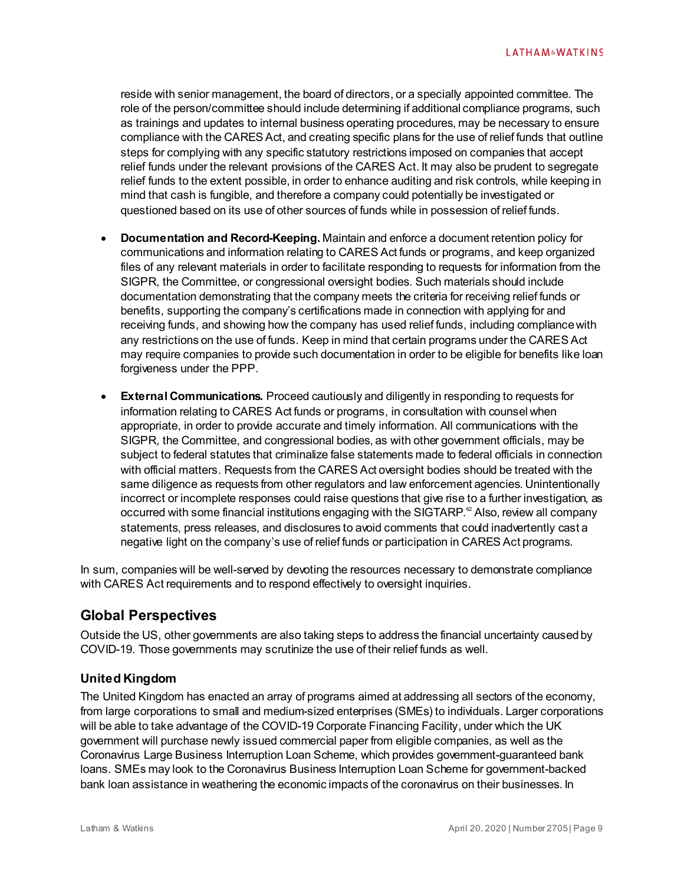reside with senior management, the board of directors, or a specially appointed committee. The role of the person/committee should include determining if additional compliance programs, such as trainings and updates to internal business operating procedures, may be necessary to ensure compliance with the CARES Act, and creating specific plans for the use of relief funds that outline steps for complying with any specific statutory restrictions imposed on companies that accept relief funds under the relevant provisions of the CARES Act. It may also be prudent to segregate relief funds to the extent possible, in order to enhance auditing and risk controls, while keeping in mind that cash is fungible, and therefore a company could potentially be investigated or questioned based on its use of other sources of funds while in possession of relief funds.

- **Documentation and Record-Keeping.** Maintain and enforce a document retention policy for communications and information relating to CARES Act funds or programs, and keep organized files of any relevant materials in order to facilitate responding to requests for information from the SIGPR, the Committee, or congressional oversight bodies. Such materials should include documentation demonstrating that the company meets the criteria for receiving relief funds or benefits, supporting the company's certifications made in connection with applying for and receiving funds, and showing how the company has used relief funds, including compliance with any restrictions on the use of funds. Keep in mind that certain programs under the CARES Act may require companies to provide such documentation in order to be eligible for benefits like loan forgiveness under the PPP.
- **External Communications.** Proceed cautiously and diligently in responding to requests for information relating to CARES Act funds or programs, in consultation with counsel when appropriate, in order to provide accurate and timely information. All communications with the SIGPR, the Committee, and congressional bodies, as with other government officials, may be subject to federal statutes that criminalize false statements made to federal officials in connection with official matters. Requests from the CARES Act oversight bodies should be treated with the same diligence as requests from other regulators and law enforcement agencies. Unintentionally incorrect or incomplete responses could raise questions that give rise to a further investigation, as occurred with some financial institutions engaging with the SIGTARP.<sup>[62](#page-16-28)</sup> Also, review all company statements, press releases, and disclosures to avoid comments that could inadvertently cast a negative light on the company's use of relief funds or participation in CARES Act programs.

In sum, companies will be well-served by devoting the resources necessary to demonstrate compliance with CARES Act requirements and to respond effectively to oversight inquiries.

### **Global Perspectives**

Outside the US, other governments are also taking steps to address the financial uncertainty caused by COVID-19. Those governments may scrutinize the use of their relief funds as well.

#### **United Kingdom**

The United Kingdom has enacted an array of programs aimed at addressing all sectors of the economy, from large corporations to small and medium-sized enterprises (SMEs) to individuals. Larger corporations will be able to take advantage of the COVID-19 Corporate Financing Facility, under which the UK government will purchase newly issued commercial paper from eligible companies, as well as the Coronavirus Large Business Interruption Loan Scheme, which provides government-guaranteed bank loans. SMEs may look to the Coronavirus Business Interruption Loan Scheme for government-backed bank loan assistance in weathering the economic impacts of the coronavirus on their businesses. In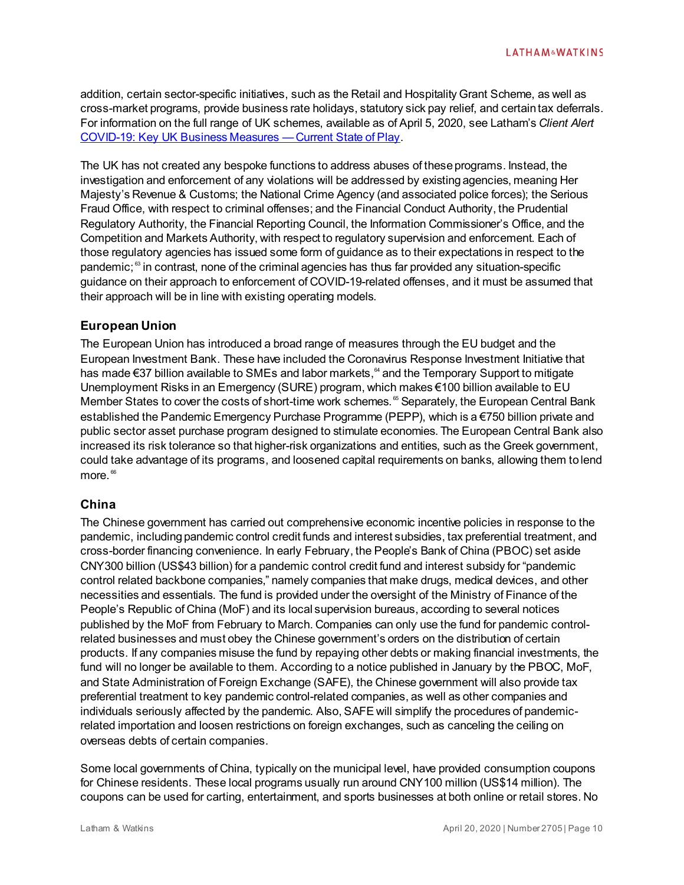addition, certain sector-specific initiatives, such as the Retail and Hospitality Grant Scheme, as well as cross-market programs, provide business rate holidays, statutory sick pay relief, and certain tax deferrals. For information on the full range of UK schemes, available as of April 5, 2020, see Latham's *Client Alert* [COVID-19: Key UK Business Measures —Current State of Play](https://www.lw.com/thoughtLeadership/covid-19-key-uk-business-measures-current-state-of-play).

The UK has not created any bespoke functions to address abuses of these programs. Instead, the investigation and enforcement of any violations will be addressed by existing agencies, meaning Her Majesty's Revenue & Customs; the National Crime Agency (and associated police forces); the Serious Fraud Office, with respect to criminal offenses; and the Financial Conduct Authority, the Prudential Regulatory Authority, the Financial Reporting Council, the Information Commissioner's Office, and the Competition and Markets Authority, with respect to regulatory supervision and enforcement. Each of those regulatory agencies has issued some form of guidance as to their expectations in respect to the pandemic; $<sup>63</sup>$  $<sup>63</sup>$  $<sup>63</sup>$  in contrast, none of the criminal agencies has thus far provided any situation-specific</sup> guidance on their approach to enforcement of COVID-19-related offenses, and it must be assumed that their approach will be in line with existing operating models.

#### **European Union**

The European Union has introduced a broad range of measures through the EU budget and the European Investment Bank. These have included the Coronavirus Response Investment Initiative that has made €37 billion available to SMEs and labor markets,<sup>∝</sup> and the Temporary Support to mitigate Unemployment Risks in an Emergency (SURE) program, which makes €100 billion available to EU Member States to cover the costs of short-time work schemes.<sup>[65](#page-17-1)</sup> Separately, the European Central Bank established the Pandemic Emergency Purchase Programme (PEPP), which is a €750 billion private and public sector asset purchase program designed to stimulate economies. The European Central Bank also increased its risk tolerance so that higher-risk organizations and entities, such as the Greek government, could take advantage of its programs, and loosened capital requirements on banks, allowing them to lend more. [66](#page-17-2)

#### **China**

The Chinese government has carried out comprehensive economic incentive policies in response to the pandemic, including pandemic control credit funds and interest subsidies, tax preferential treatment, and cross-border financing convenience. In early February, the People's Bank of China (PBOC) set aside CNY300 billion (US\$43 billion) for a pandemic control credit fund and interest subsidy for "pandemic control related backbone companies," namely companies that make drugs, medical devices, and other necessities and essentials. The fund is provided under the oversight of the Ministry of Finance of the People's Republic of China (MoF) and its local supervision bureaus, according to several notices published by the MoF from February to March. Companies can only use the fund for pandemic controlrelated businesses and must obey the Chinese government's orders on the distribution of certain products. If any companies misuse the fund by repaying other debts or making financial investments, the fund will no longer be available to them. According to a notice published in January by the PBOC, MoF, and State Administration of Foreign Exchange (SAFE), the Chinese government will also provide tax preferential treatment to key pandemic control-related companies, as well as other companies and individuals seriously affected by the pandemic. Also, SAFE will simplify the procedures of pandemicrelated importation and loosen restrictions on foreign exchanges, such as canceling the ceiling on overseas debts of certain companies.

Some local governments of China, typically on the municipal level, have provided consumption coupons for Chinese residents. These local programs usually run around CNY100 million (US\$14 million). The coupons can be used for carting, entertainment, and sports businesses at both online or retail stores. No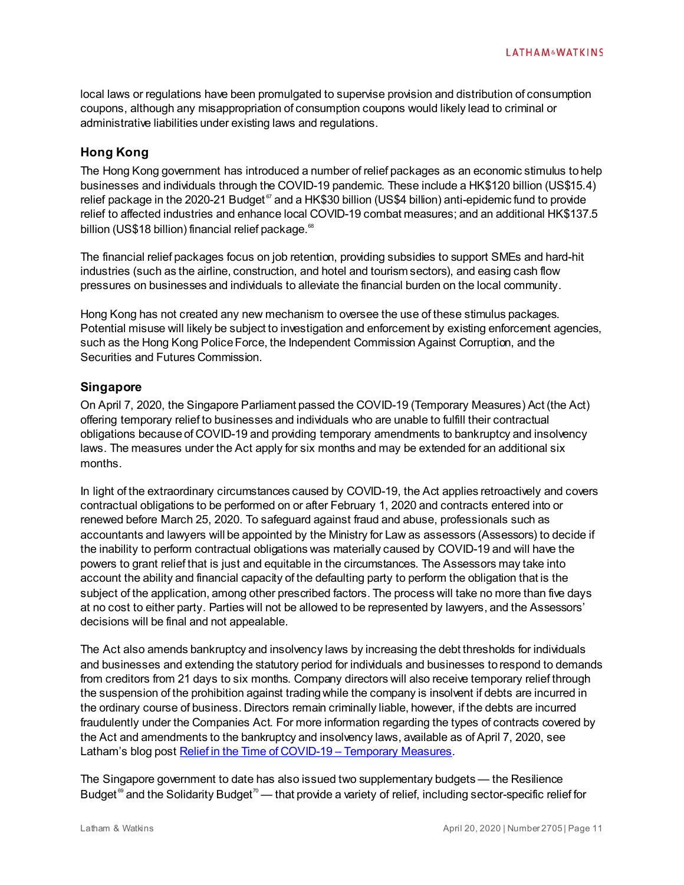local laws or regulations have been promulgated to supervise provision and distribution of consumption coupons, although any misappropriation of consumption coupons would likely lead to criminal or administrative liabilities under existing laws and regulations.

#### **Hong Kong**

The Hong Kong government has introduced a number of relief packages as an economic stimulus to help businesses and individuals through the COVID-19 pandemic. These include a HK\$120 billion (US\$15.4) relief package in the 2020-21 Budget<sup>[67](#page-17-3)</sup> and a HK\$30 billion (US\$4 billion) anti-epidemic fund to provide relief to affected industries and enhance local COVID-19 combat measures; and an additional HK\$137.5 billion (US\$18 billion) financial relief package.<sup>[68](#page-17-4)</sup>

The financial relief packages focus on job retention, providing subsidies to support SMEs and hard-hit industries (such as the airline, construction, and hotel and tourism sectors), and easing cash flow pressures on businesses and individuals to alleviate the financial burden on the local community.

Hong Kong has not created any new mechanism to oversee the use of these stimulus packages. Potential misuse will likely be subject to investigation and enforcement by existing enforcement agencies, such as the Hong Kong Police Force, the Independent Commission Against Corruption, and the Securities and Futures Commission.

#### **Singapore**

On April 7, 2020, the Singapore Parliament passed the COVID-19 (Temporary Measures) Act (the Act) offering temporary relief to businesses and individuals who are unable to fulfill their contractual obligations because of COVID-19 and providing temporary amendments to bankruptcy and insolvency laws. The measures under the Act apply for six months and may be extended for an additional six months.

In light of the extraordinary circumstances caused by COVID-19, the Act applies retroactively and covers contractual obligations to be performed on or after February 1, 2020 and contracts entered into or renewed before March 25, 2020. To safeguard against fraud and abuse, professionals such as accountants and lawyers will be appointed by the Ministry for Law as assessors (Assessors) to decide if the inability to perform contractual obligations was materially caused by COVID-19 and will have the powers to grant relief that is just and equitable in the circumstances. The Assessors may take into account the ability and financial capacity of the defaulting party to perform the obligation that is the subject of the application, among other prescribed factors. The process will take no more than five days at no cost to either party. Parties will not be allowed to be represented by lawyers, and the Assessors' decisions will be final and not appealable.

The Act also amends bankruptcy and insolvency laws by increasing the debt thresholds for individuals and businesses and extending the statutory period for individuals and businesses to respond to demands from creditors from 21 days to six months. Company directors will also receive temporary relief through the suspension of the prohibition against trading while the company is insolvent if debts are incurred in the ordinary course of business. Directors remain criminally liable, however, if the debts are incurred fraudulently under the Companies Act. For more information regarding the types of contracts covered by the Act and amendments to the bankruptcy and insolvency laws, available as of April 7, 2020, see Latham's blog pos[t Relief in the Time of COVID-19 –](https://www.jdsupra.com/legalnews/relief-in-the-time-of-covid-19-13595/) Temporary Measures.

The Singapore government to date has also issued two supplementary budgets — the Resilience Budget $^{\text{\tiny {69}}}$  $^{\text{\tiny {69}}}$  $^{\text{\tiny {69}}}$  and the Solidarity Budget $^{\text{\tiny $\prime$}}$  — that provide a variety of relief, including sector-specific relief for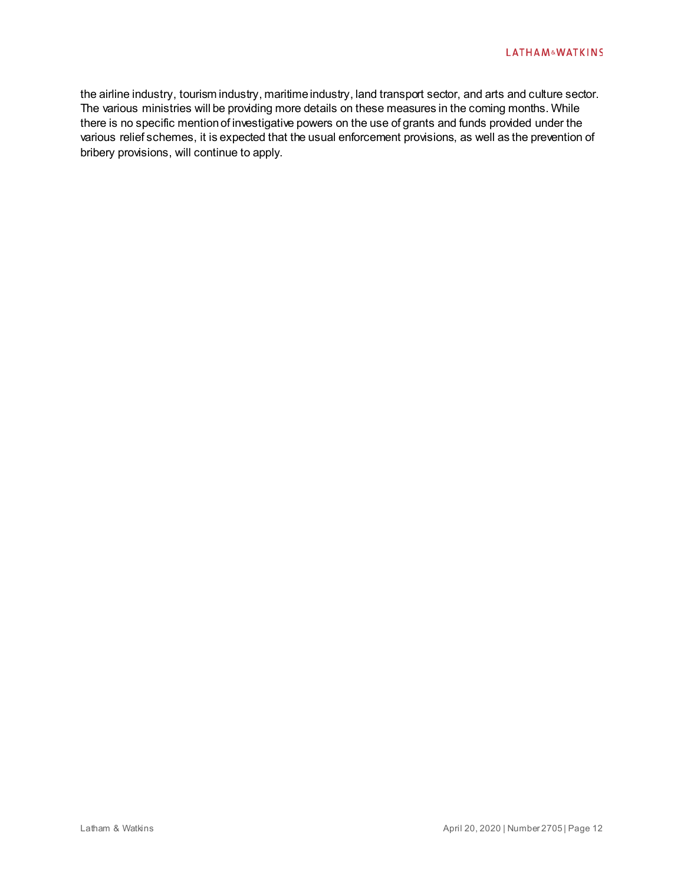the airline industry, tourism industry, maritime industry, land transport sector, and arts and culture sector. The various ministries will be providing more details on these measures in the coming months. While there is no specific mention of investigative powers on the use of grants and funds provided under the various relief schemes, it is expected that the usual enforcement provisions, as well as the prevention of bribery provisions, will continue to apply.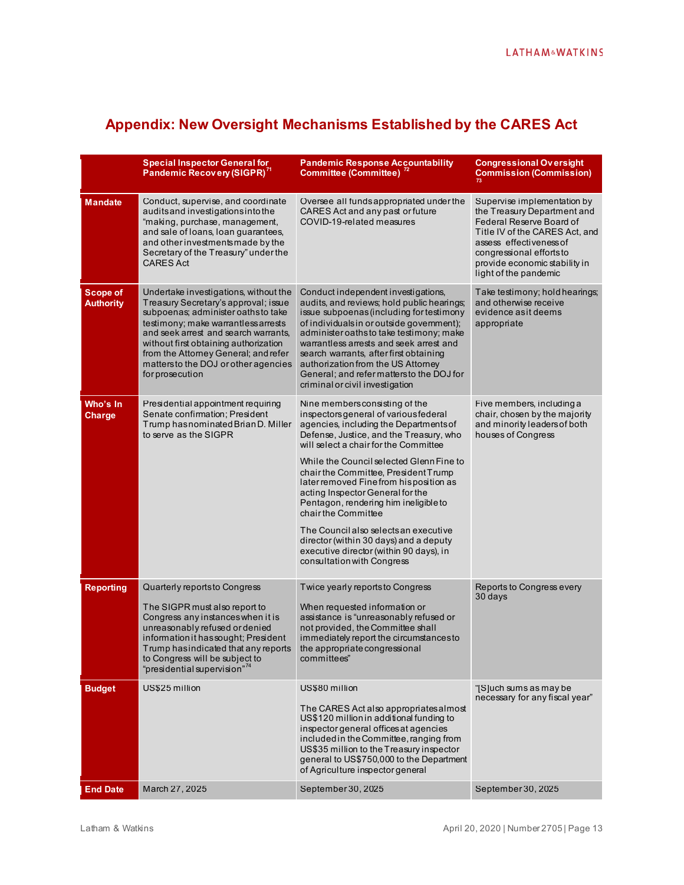| Appendix: New Oversight Mechanisms Established by the CARES Act |  |
|-----------------------------------------------------------------|--|
|-----------------------------------------------------------------|--|

|                                     | <b>Special Inspector General for</b><br>Pandemic Recovery (SIGPR) <sup>71</sup>                                                                                                                                                                                                                                                                | <b>Pandemic Response Accountability</b><br>Committee (Committee) <sup>72</sup>                                                                                                                                                                                                                                                                                                                                                                                                                                                                                                                      | <b>Congressional Oversight</b><br><b>Commission (Commission)</b>                                                                                                                                                                          |
|-------------------------------------|------------------------------------------------------------------------------------------------------------------------------------------------------------------------------------------------------------------------------------------------------------------------------------------------------------------------------------------------|-----------------------------------------------------------------------------------------------------------------------------------------------------------------------------------------------------------------------------------------------------------------------------------------------------------------------------------------------------------------------------------------------------------------------------------------------------------------------------------------------------------------------------------------------------------------------------------------------------|-------------------------------------------------------------------------------------------------------------------------------------------------------------------------------------------------------------------------------------------|
| <b>Mandate</b>                      | Conduct, supervise, and coordinate<br>audits and investigations into the<br>"making, purchase, management,<br>and sale of loans, loan guarantees,<br>and other investments made by the<br>Secretary of the Treasury" under the<br><b>CARES Act</b>                                                                                             | Oversee all funds appropriated under the<br>CARES Act and any past or future<br>COVID-19-related measures                                                                                                                                                                                                                                                                                                                                                                                                                                                                                           | Supervise implementation by<br>the Treasury Department and<br>Federal Reserve Board of<br>Title IV of the CARES Act, and<br>assess effectiveness of<br>congressional efforts to<br>provide economic stability in<br>light of the pandemic |
| <b>Scope of</b><br><b>Authority</b> | Undertake investigations, without the<br>Treasury Secretary's approval; issue<br>subpoenas, administer oaths to take<br>testimony; make warrantless arrests<br>and seek arrest and search warrants,<br>without first obtaining authorization<br>from the Attorney General; and refer<br>mattersto the DOJ or other agencies<br>for prosecution | Conduct independent investigations,<br>audits, and reviews; hold public hearings;<br>issue subpoenas (including for testimony<br>of individuals in or outside government);<br>administer oaths to take testimony; make<br>warrantless arrests and seek arrest and<br>search warrants, after first obtaining<br>authorization from the US Attorney<br>General; and refer matters to the DOJ for<br>criminal or civil investigation                                                                                                                                                                   | Take testimony; hold hearings;<br>and otherwise receive<br>evidence as it deems<br>appropriate                                                                                                                                            |
| Who's In<br><b>Charge</b>           | Presidential appointment requiring<br>Senate confirmation; President<br>Trump has nominated Brian D. Miller<br>to serve as the SIGPR                                                                                                                                                                                                           | Nine members consisting of the<br>inspectors general of various federal<br>agencies, including the Departments of<br>Defense, Justice, and the Treasury, who<br>will select a chair for the Committee<br>While the Council selected Glenn Fine to<br>chair the Committee, President Trump<br>later removed Fine from hisposition as<br>acting Inspector General for the<br>Pentagon, rendering him ineligible to<br>chair the Committee<br>The Council also selects an executive<br>director (within 30 days) and a deputy<br>executive director (within 90 days), in<br>consultation with Congress | Five members, including a<br>chair, chosen by the majority<br>and minority leaders of both<br>houses of Congress                                                                                                                          |
| <b>Reporting</b>                    | Quarterly reports to Congress<br>The SIGPR must also report to<br>Congress any instances when it is<br>unreasonably refused or denied<br>information it has sought; President<br>Trump has indicated that any reports<br>to Congress will be subject to<br>"presidential supervision" <sup>74</sup>                                            | Twice yearly reports to Congress<br>When requested information or<br>assistance is "unreasonably refused or<br>not provided, the Committee shall<br>immediately report the circumstances to<br>the appropriate congressional<br>committees"                                                                                                                                                                                                                                                                                                                                                         | Reports to Congress every<br>30 days                                                                                                                                                                                                      |
| <b>Budget</b>                       | US\$25 million                                                                                                                                                                                                                                                                                                                                 | US\$80 million<br>The CARES Act also appropriates almost<br>US\$120 million in additional funding to<br>inspector general offices at agencies<br>included in the Committee, ranging from<br>US\$35 million to the Treasury inspector<br>general to US\$750,000 to the Department<br>of Agriculture inspector general                                                                                                                                                                                                                                                                                | "[S]uch sums as may be<br>necessary for any fiscal year"                                                                                                                                                                                  |
| <b>End Date</b>                     | March 27, 2025                                                                                                                                                                                                                                                                                                                                 | September 30, 2025                                                                                                                                                                                                                                                                                                                                                                                                                                                                                                                                                                                  | September 30, 2025                                                                                                                                                                                                                        |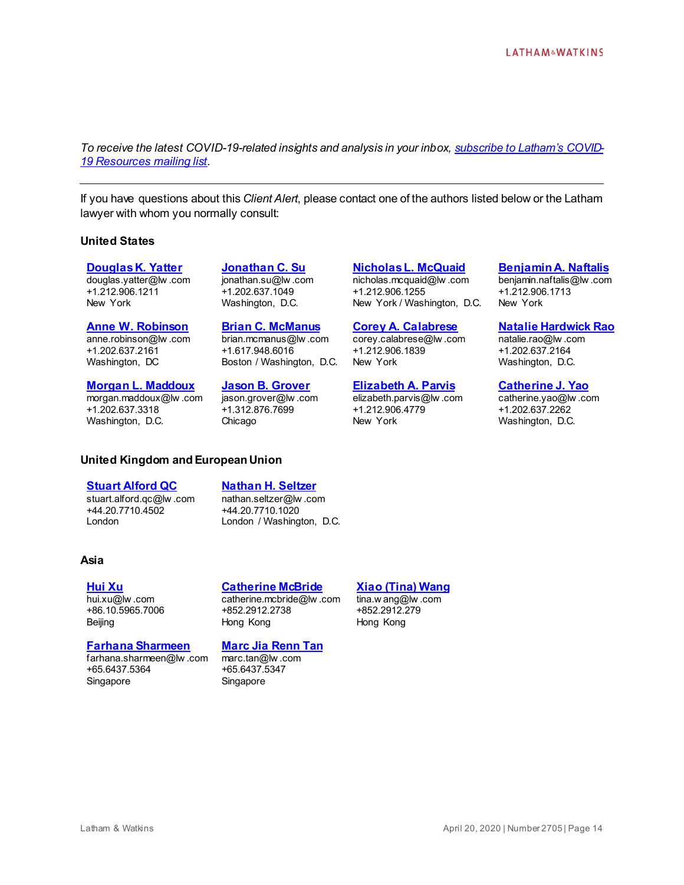*To receive the latest COVID-19-related insights and analysis in your inbox[, subscribe to Latham's](https://www.sites.lwcommunicate.com/5/2399/forms-other/covid-19.asp) [COVID-](https://www.sites.lwcommunicate.com/5/2399/forms-other/covid-19.asp)[19 Resources mailing list](https://www.sites.lwcommunicate.com/5/2399/forms-other/covid-19.asp).*

If you have questions about this *Client Alert*, please contact one of the authors listed below or the Latham lawyer with whom you normally consult:

#### **United States**

**[Douglas K.](https://www.lw.com/people/douglas-yatter) Yatter**

douglas.yatter@lw .com +1.212.906.1211 New York

**[Anne W. Robinson](https://www.lw.com/people/anne-robinson)**

anne.robinson@lw .com +1.202.637.2161 Washington, DC

**[Morgan L. Maddoux](https://www.lw.com/people/morgan-maddoux)** morgan.maddoux@lw .com

+1.202.637.3318 Washington, D.C. **[Jonathan C. Su](https://www.lw.com/people/jonathan-su)** jonathan.su@lw .com +1.202.637.1049 Washington, D.C.

**[Brian C. McManus](https://www.lw.com/people/brian-mcmanus)** brian.mcmanus@lw .com +1.617.948.6016 Boston / Washington, D.C.

**[Jason B. Grover](https://www.lw.com/people/jason-grover)** jason.grover@lw .com +1.312.876.7699 Chicago

**[Nicholas L. McQuaid](https://www.lw.com/people/nicholas-mcquaid)** nicholas.mcquaid@lw .com +1.212.906.1255 New York / Washington, D.C.

**[Corey A. Calabrese](https://www.lw.com/people/corey-calabrese)** corey.calabrese@lw .com +1.212.906.1839 New York

**[Elizabeth A. Parvis](https://www.lw.com/people/elizabeth-parvis)** elizabeth.parvis@lw.com +1.212.906.4779 New York

**[Benjamin A. Naftalis](https://www.lw.com/people/benjamin-naftalis)**

benjamin.naftalis@lw .com +1.212.906.1713 New York

**[Natalie Hardwick Rao](https://www.lw.com/people/natalie-hardwick-rao)** natalie.rao@lw.com +1.202.637.2164 Washington, D.C.

**[Catherine J. Yao](https://www.lw.com/people/catherine-yao)** catherine.yao@lw .com +1.202.637.2262 Washington, D.C.

#### **United Kingdom andEuropean Union**

#### **[Stuart Alford QC](https://www.lw.com/people/stuart-alford-QC)**

stuart.alford.qc@lw .com +44.20.7710.4502 London

**[Nathan H.](https://www.lw.com/people/nathan-seltzer) Seltzer**

nathan.seltzer@lw .com +44.20.7710.1020 London / Washington, D.C.

#### **Asia**

#### **[Hui Xu](https://www.lw.com/people/hui-xu)**

hui.xu@lw .com +86.10.5965.7006 Beijing

#### **[Farhana Sharmeen](https://www.lw.com/people/farhana-sharmeen)**

farhana.sharmeen@lw .com +65.6437.5364 Singapore

#### **[Catherine McBride](https://www.lw.com/people/catherine-mcbride)**

catherine.mcbride@lw .com +852.2912.2738 Hong Kong

#### **[Marc Jia Renn Tan](https://www.lw.com/people/marc-jia-renn-tan)**

marc.tan@lw.com +65.6437.5347 Singapore

#### **[Xiao \(Tina\) Wang](https://www.lw.com/people/tina-wang)**

tina.w ang@lw .com +852.2912.279 Hong Kong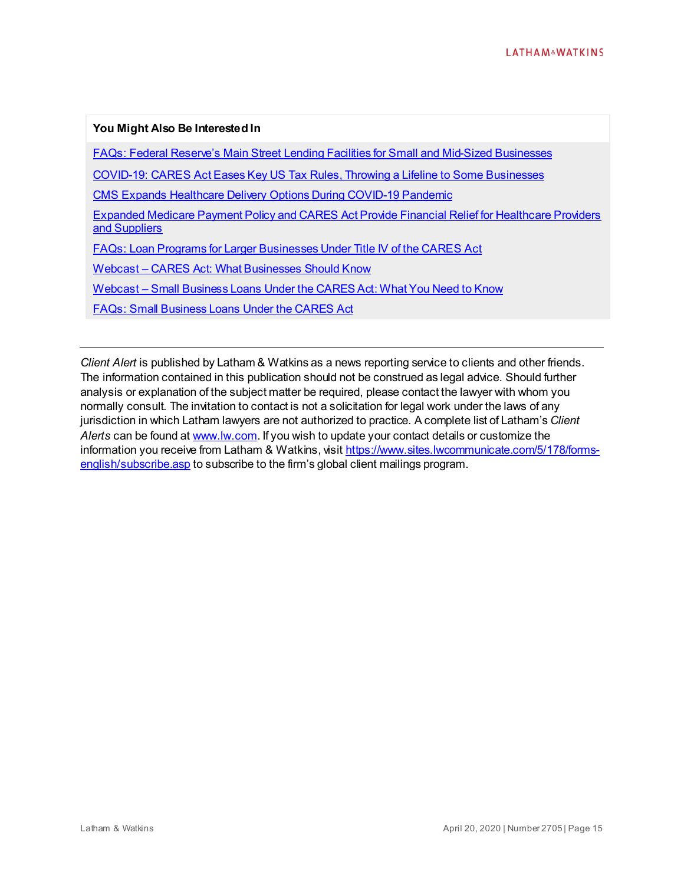#### **You Might Also Be Interested In**

[FAQs: Federal Reserve's Main Street Lending Facilities for Small and](https://www.lw.com/thoughtLeadership/faqs-federal-reserve-main-street-lending-facilities-for-small-and-mid-sized-businesses) Mid-Sized Businesses

[COVID-19: CARES Act Eases Key US Tax Rules, Throwing a Lifeline to Some Businesses](https://wwws.lw.com/thoughtLeadership/covid-19-cares-act-eases-key-us-tax-rules-throwing-a-lifeline-to-some-businesses)

[CMS Expands Healthcare Delivery Options During COVID-19 Pandemic](https://www.lw.com/thoughtLeadership/CMS-Expands-Healthcare-Delivery-Options-During-COVID-19-Pandemic)

[Expanded Medicare Payment Policy and CARES Act Provide Financial Relief for Healthcare Providers](https://www.lw.com/thoughtLeadership/Expanded-Medicare-Payment-Policy-and-CARES-Act-Provide-Financial-Relief-for-Healthcare-Providers-and-Suppliers)  [and Suppliers](https://www.lw.com/thoughtLeadership/Expanded-Medicare-Payment-Policy-and-CARES-Act-Provide-Financial-Relief-for-Healthcare-Providers-and-Suppliers)

[FAQs: Loan Programs for Larger Businesses Under Title IV of the CARES Act](https://www.lw.com/thoughtLeadership/FAQs-Loan-Programs-for-Larger-Businesses-Under-Title-IV-of-the-CARES-Act)

Webcast – [CARES Act: What Businesses Should Know](https://www.lw.com/webcasts/CARES-act-what-businesses-should-know)

Webcast – [Small Business Loans Under the CARES Act: What You Need to Know](https://www.lw.com/webcasts/CARES-Act-small-business-loans-need-to-know)

[FAQs: Small Business Loans Under the CARES Act](https://www.lw.com/thoughtLeadership/FAQs-Small-Business-Loans-Under-the-CARES-Act)

*Client Alert* is published by Latham & Watkins as a news reporting service to clients and other friends. The information contained in this publication should not be construed as legal advice. Should further analysis or explanation of the subject matter be required, please contact the lawyer with whom you normally consult. The invitation to contact is not a solicitation for legal work under the laws of any jurisdiction in which Latham lawyers are not authorized to practice. A complete list of Latham's *Client Alerts* can be found a[t www.lw.com](http://www.lw.com/). If you wish to update your contact details or customize the information you receive from Latham & Watkins, visi[t https://www.sites.lwcommunicate.com/5/178/forms](https://www.sites.lwcommunicate.com/5/178/forms-english/subscribe.asp)[english/subscribe.asp](https://www.sites.lwcommunicate.com/5/178/forms-english/subscribe.asp) to subscribe to the firm's global client mailings program.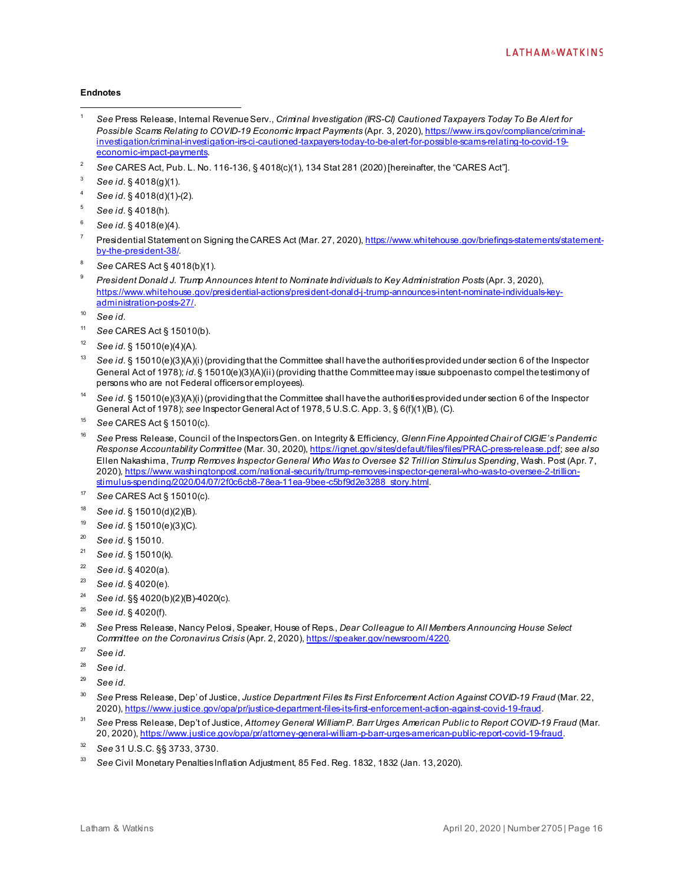#### **Endnotes**

- <span id="page-15-0"></span><sup>1</sup> *See* Press Release, Internal Revenue Serv., *Criminal Investigation (IRS-CI) Cautioned Taxpayers Today To Be Alert for Possible Scams Relating to COVID-19 Economic Impact Payments* (Apr. 3, 2020), [https://www.irs.gov/compliance/criminal](https://www.irs.gov/compliance/criminal-investigation/criminal-investigation-irs-ci-cautioned-taxpayers-today-to-be-alert-for-possible-scams-relating-to-covid-19-economic-impact-payments)[investigation/criminal-investigation-irs-ci-cautioned-taxpayers-today-to-be-alert-for-possible-scams-relating-to-covid-19](https://www.irs.gov/compliance/criminal-investigation/criminal-investigation-irs-ci-cautioned-taxpayers-today-to-be-alert-for-possible-scams-relating-to-covid-19-economic-impact-payments) [economic-impact-payments.](https://www.irs.gov/compliance/criminal-investigation/criminal-investigation-irs-ci-cautioned-taxpayers-today-to-be-alert-for-possible-scams-relating-to-covid-19-economic-impact-payments) l
- <span id="page-15-1"></span><sup>2</sup> *See* CARES Act, Pub. L. No. 116-136, § 4018(c)(1), 134 Stat 281 (2020) [hereinafter, the "CARES Act"].
- <span id="page-15-2"></span><sup>3</sup> See id.  $\S$  4018(g)(1).
- <span id="page-15-3"></span><sup>4</sup> *See id.* § 4018(d)(1)-(2).
- <span id="page-15-4"></span><sup>5</sup> *See id.* § 4018(h).
- <span id="page-15-5"></span><sup>6</sup> *See id.* § 4018(e)(4).
- <span id="page-15-6"></span>Presidential Statement on Signing the CARES Act (Mar. 27, 2020[\), https://www.whitehouse.gov/briefings-statements/statement](https://www.whitehouse.gov/briefings-statements/statement-by-the-president-38/)[by-the-president-38/](https://www.whitehouse.gov/briefings-statements/statement-by-the-president-38/).
- <span id="page-15-7"></span><sup>8</sup> *See* CARES Act § 4018(b)(1).
- <span id="page-15-8"></span><sup>9</sup> *President Donald J. Trump Announces Intent to Nominate Individuals to Key Administration Posts* (Apr. 3, 2020), [https://www.whitehouse.gov/presidential-actions/president-donald-j-trump-announces-intent-nominate-individuals-key](https://www.whitehouse.gov/presidential-actions/president-donald-j-trump-announces-intent-nominate-individuals-key-administration-posts-27/)[administration-posts-27/.](https://www.whitehouse.gov/presidential-actions/president-donald-j-trump-announces-intent-nominate-individuals-key-administration-posts-27/)
- <span id="page-15-9"></span><sup>10</sup> *See id.*
- <span id="page-15-10"></span><sup>11</sup> *See* CARES Act § 15010(b).
- <span id="page-15-11"></span><sup>12</sup> *See id.* § 15010(e)(4)(A).
- <span id="page-15-12"></span><sup>13</sup> See id. § 15010(e)(3)(A)(i) (providing that the Committee shall have the authorities provided under section 6 of the Inspector General Act of 1978); *id.*§ 15010(e)(3)(A)(ii) (providing that the Committee may issue subpoenas to compel the testimony of persons who are not Federal officers or employees).
- <span id="page-15-13"></span>See id. § 15010(e)(3)(A)(i) (providing that the Committee shall have the authorities provided under section 6 of the Inspector General Act of 1978); *see* Inspector General Act of 1978, 5 U.S.C. App. 3, § 6(f)(1)(B), (C).
- <span id="page-15-14"></span><sup>15</sup> *See* CARES Act § 15010(c).
- <span id="page-15-15"></span><sup>16</sup> *See* Press Release, Council of the Inspectors Gen. on Integrity & Efficiency*, Glenn Fine Appointed Chair of CIGIE's Pandemic Response Accountability Committee* (Mar. 30, 2020), [https://ignet.gov/sites/default/files/files/PRAC-press-release.pdf;](https://ignet.gov/sites/default/files/files/PRAC-press-release.pdf) *see also* Ellen Nakashima, *Trump Removes Inspector General Who Was to Oversee \$2 Trillion Stimulus Spending*, Wash. Post (Apr. 7, 2020)*,* [https://www.washingtonpost.com/national-security/trump-removes-inspector-general-who-was-to-oversee-2-trillion](https://www.washingtonpost.com/national-security/trump-removes-inspector-general-who-was-to-oversee-2-trillion-stimulus-spending/2020/04/07/2f0c6cb8-78ea-11ea-9bee-c5bf9d2e3288_story.html)[stimulus-spending/2020/04/07/2f0c6cb8-78ea-11ea-9bee-c5bf9d2e3288\\_story.html](https://www.washingtonpost.com/national-security/trump-removes-inspector-general-who-was-to-oversee-2-trillion-stimulus-spending/2020/04/07/2f0c6cb8-78ea-11ea-9bee-c5bf9d2e3288_story.html).
- <span id="page-15-16"></span><sup>17</sup> *See* CARES Act § 15010(c).
- <span id="page-15-17"></span><sup>18</sup> *See id.* § 15010(d)(2)(B).
- <sup>19</sup> *See id.* § 15010(e)(3)(C).
- <span id="page-15-19"></span><span id="page-15-18"></span><sup>20</sup> *See id.* § 15010.
- <span id="page-15-20"></span><sup>21</sup> *See id.* § 15010(k).
- <span id="page-15-21"></span><sup>22</sup> *See id.* § 4020(a).
- <span id="page-15-22"></span><sup>23</sup> *See id.* § 4020(e).
- <span id="page-15-23"></span><sup>24</sup> *See id.* §§ 4020(b)(2)(B)-4020(c).
- <span id="page-15-24"></span><sup>25</sup> *See id.* § 4020(f).
- <span id="page-15-25"></span><sup>26</sup> *See* Press Release, Nancy Pelosi, Speaker, House of Reps., *Dear Colleague to All Members Announcing House Select Committee on the Coronavirus Crisis* (Apr. 2, 2020[\), https://speaker.gov/newsroom/4220.](https://speaker.gov/newsroom/4220)
- <span id="page-15-26"></span><sup>27</sup> *See id.*
- <span id="page-15-27"></span><sup>28</sup> *See id*.
- <span id="page-15-28"></span><sup>29</sup> *See id.*
- <span id="page-15-29"></span><sup>30</sup> *See* Press Release, Dep' of Justice, *Justice Department Files Its First Enforcement Action Against COVID-19 Fraud* (Mar. 22, 2020)[, https://www.justice.gov/opa/pr/justice-department-files-its-first-enforcement-action-against-covid-19-fraud](https://www.justice.gov/opa/pr/justice-department-files-its-first-enforcement-action-against-covid-19-fraud).
- <span id="page-15-30"></span><sup>31</sup> See Press Release, Dep't of Justice, Attorney General William P. Barr Urges American Public to Report COVID-19 Fraud (Mar. 20, 2020)[, https://www.justice.gov/opa/pr/attorney-general-william-p-barr-urges-american-public-report-covid-19-fraud](https://www.justice.gov/opa/pr/attorney-general-william-p-barr-urges-american-public-report-covid-19-fraud).
- <span id="page-15-31"></span><sup>32</sup> *See* 31 U.S.C. §§ 3733, 3730.
- <span id="page-15-32"></span><sup>33</sup> *See* Civil Monetary Penalties Inflation Adjustment, 85 Fed. Reg. 1832, 1832 (Jan. 13, 2020).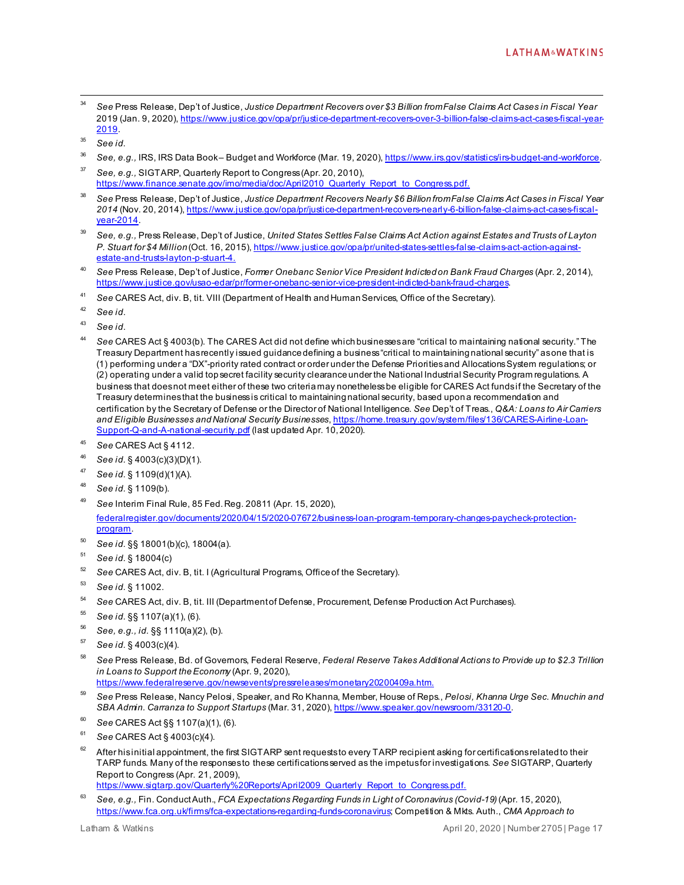<span id="page-16-0"></span>l <sup>34</sup> *See* Press Release, Dep't of Justice, *Justice Department Recovers over \$3 Billion from False Claims Act Cases in Fiscal Year* 2019 (Jan. 9, 2020)[, https://www.justice.gov/opa/pr/justice-department-recovers-over-3-billion-false-claims-act-cases-fiscal-year-](https://www.justice.gov/opa/pr/justice-department-recovers-over-3-billion-false-claims-act-cases-fiscal-year-2019)[2019.](https://www.justice.gov/opa/pr/justice-department-recovers-over-3-billion-false-claims-act-cases-fiscal-year-2019)

- <span id="page-16-2"></span><sup>36</sup> *See, e.g.,* IRS, IRS Data Book – Budget and Workforce (Mar. 19, 2020[\), https://www.irs.gov/statistics/irs-budget-and-workforce.](https://www.irs.gov/statistics/irs-budget-and-workforce)
- <span id="page-16-3"></span><sup>37</sup> *See, e.g.,* SIGTARP, Quarterly Report to Congress (Apr. 20, 2010), [https://www.finance.senate.gov/imo/media/doc/April2010\\_Quarterly\\_Report\\_to\\_Congress.pdf.](https://www.finance.senate.gov/imo/media/doc/April2010_Quarterly_Report_to_Congress.pdf)
- <span id="page-16-4"></span><sup>38</sup> *See* Press Release, Dep't of Justice, *Justice Department Recovers Nearly \$6 Billion from False Claims Act Cases in Fiscal Year 2014* (Nov. 20, 2014), [https://www.justice.gov/opa/pr/justice-department-recovers-nearly-6-billion-false-claims-act-cases-fiscal](https://www.justice.gov/opa/pr/justice-department-recovers-nearly-6-billion-false-claims-act-cases-fiscal-year-2014)[year-2014.](https://www.justice.gov/opa/pr/justice-department-recovers-nearly-6-billion-false-claims-act-cases-fiscal-year-2014)
- <span id="page-16-5"></span><sup>39</sup> *See, e.g.,* Press Release, Dep't of Justice, *United States Settles False Claims Act Action against Estates and Trusts of Layton P. Stuart for \$4 Million* (Oct. 16, 2015), [https://www.justice.gov/opa/pr/united-states-settles-false-claims-act-action-against](https://www.justice.gov/opa/pr/united-states-settles-false-claims-act-action-against-estate-and-trusts-layton-p-stuart-4)[estate-and-trusts-layton-p-stuart-4.](https://www.justice.gov/opa/pr/united-states-settles-false-claims-act-action-against-estate-and-trusts-layton-p-stuart-4)
- <span id="page-16-6"></span><sup>40</sup> *See* Press Release, Dep't of Justice, *Former Onebanc Senior Vice President Indicted on Bank Fraud Charges* (Apr. 2, 2014), <https://www.justice.gov/usao-edar/pr/former-onebanc-senior-vice-president-indicted-bank-fraud-charges>.
- See CARES Act, div. B, tit. VIII (Department of Health and Human Services, Office of the Secretary).
- <span id="page-16-8"></span><span id="page-16-7"></span><sup>42</sup> *See id*.
- <span id="page-16-9"></span><sup>43</sup> *See id*.
- <span id="page-16-10"></span><sup>44</sup> *See* CARES Act § 4003(b). The CARES Act did not define which businesses are "critical to maintaining national security." The Treasury Department has recently issued guidance defining a business "critical to maintaining national security" as one that is (1) performing under a "DX"-priority rated contract or order under the Defense Priorities and Allocations System regulations; or (2) operating under a valid top secret facility security clearance under the National Industrial Security Program regulations. A business that does not meet either of these two criteria may nonetheless be eligible for CARES Act funds if the Secretary of the Treasury determines that the business is critical to maintaining national security, based upon a recommendation and certification by the Secretary of Defense or the Director of National Intelligence. *See* Dep't of Treas., *Q&A: Loans to Air Carriers and Eligible Businesses and National Security Businesses*[, https://home.treasury.gov/system/files/136/CARES-Airline-Loan-](https://home.treasury.gov/system/files/136/CARES-Airline-Loan-Support-Q-and-A-national-security.pdf)[Support-Q-and-A-national-security.pdf](https://home.treasury.gov/system/files/136/CARES-Airline-Loan-Support-Q-and-A-national-security.pdf) (last updated Apr. 10, 2020).
- <span id="page-16-11"></span><sup>45</sup> *See* CARES Act § 4112.
- <span id="page-16-12"></span><sup>46</sup> *See id.* § 4003(c)(3)(D)(1).
- <span id="page-16-13"></span><sup>47</sup> *See id.* § 1109(d)(1)(A).
- <span id="page-16-14"></span><sup>48</sup> *See id.* § 1109(b).
- <span id="page-16-15"></span><sup>49</sup> *See* Interim Final Rule, 85 Fed. Reg. 20811 (Apr. 15, 2020),

federalregister.gov/documents/2020/04/15/2020-07672/business-loan-program-temporary-changes-paycheck-protectionprogram.

- <span id="page-16-16"></span><sup>50</sup> *See id.* §§ 18001(b)(c), 18004(a).
- <span id="page-16-17"></span><sup>51</sup> *See id.* § 18004(c)
- <sup>52</sup> *See* CARES Act, div. B, tit. I (Agricultural Programs, Office of the Secretary).
- <span id="page-16-19"></span><span id="page-16-18"></span><sup>53</sup> *See id.* § 11002.
- <span id="page-16-20"></span><sup>54</sup> See CARES Act, div. B, tit. III (Department of Defense, Procurement, Defense Production Act Purchases).
- <span id="page-16-21"></span><sup>55</sup> *See id.* §§ 1107(a)(1), (6).
- <span id="page-16-22"></span><sup>56</sup> *See, e.g., id.* §§ 1110(a)(2), (b).
- <span id="page-16-23"></span><sup>57</sup> *See id.* § 4003(c)(4).
- <span id="page-16-24"></span><sup>58</sup> *See* Press Release, Bd. of Governors, Federal Reserve, *Federal Reserve Takes Additional Actions to Provide up to \$2.3 Trillion in Loans to Support the Economy* (Apr. 9, 2020), <https://www.federalreserve.gov/newsevents/pressreleases/monetary20200409a.htm.>
- <span id="page-16-25"></span><sup>59</sup> *See* Press Release, Nancy Pelosi, Speaker, and Ro Khanna, Member, House of Reps., *Pelosi, Khanna Urge Sec. Mnuchin and SBA Admin. Carranza to Support Startups* (Mar. 31, 2020[\), https://www.speaker.gov/newsroom/33120-0](https://www.speaker.gov/newsroom/33120-0).
- <sup>60</sup> *See* CARES Act §§ 1107(a)(1), (6).
- <span id="page-16-27"></span><span id="page-16-26"></span><sup>61</sup> *See* CARES Act § 4003(c)(4).
- <span id="page-16-28"></span>After his initial appointment, the first SIGTARP sent requests to every TARP recipient asking for certifications related to their TARP funds. Many of the responses to these certifications served as the impetus for investigations. *See* SIGTARP, Quarterly Report to Congress (Apr. 21, 2009),

[https://www.sigtarp.gov/Quarterly%20Reports/April2009\\_Quarterly\\_Report\\_to\\_Congress.pdf](https://www.sigtarp.gov/Quarterly%20Reports/April2009_Quarterly_Report_to_Congress.pdf).

<span id="page-16-29"></span><sup>63</sup> *See, e.g.,* Fin. Conduct Auth., *FCA Expectations Regarding Funds in Light of Coronavirus (Covid-19)* (Apr. 15, 2020), [https://www.fca.org.uk/firms/fca-expectations-regarding-funds-coronavirus;](https://www.fca.org.uk/firms/fca-expectations-regarding-funds-coronavirus) Competition & Mkts. Auth., *CMA Approach to* 

<span id="page-16-1"></span><sup>35</sup> *See id.*